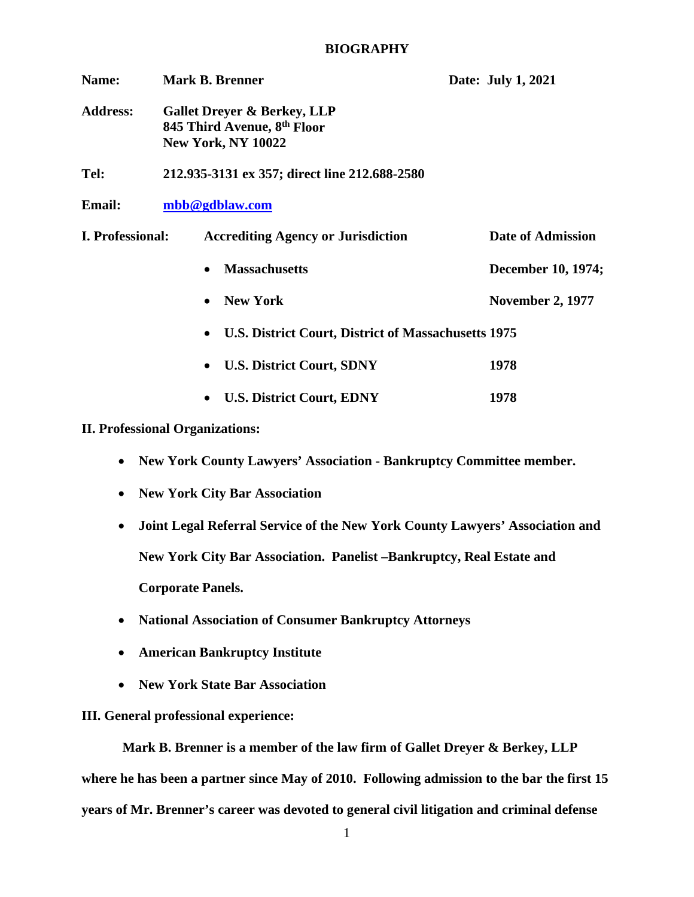## **BIOGRAPHY**

| Name:            | <b>Mark B. Brenner</b>                                                                             | Date: July 1, 2021      |
|------------------|----------------------------------------------------------------------------------------------------|-------------------------|
| <b>Address:</b>  | <b>Gallet Dreyer &amp; Berkey, LLP</b><br>845 Third Avenue, 8th Floor<br><b>New York, NY 10022</b> |                         |
| Tel:             | 212.935-3131 ex 357; direct line 212.688-2580                                                      |                         |
| <b>Email:</b>    | mbb@gdblaw.com                                                                                     |                         |
| I. Professional: | <b>Accrediting Agency or Jurisdiction</b>                                                          | Date of Admission       |
|                  | <b>Massachusetts</b>                                                                               | December 10, 1974;      |
|                  | <b>New York</b>                                                                                    | <b>November 2, 1977</b> |
|                  | U.S. District Court, District of Massachusetts 1975<br>$\bullet$                                   |                         |
|                  | <b>U.S. District Court, SDNY</b><br>$\bullet$                                                      | 1978                    |
|                  | <b>U.S. District Court, EDNY</b>                                                                   | 1978                    |

## **II. Professional Organizations:**

- **New York County Lawyers' Association - Bankruptcy Committee member.**
- **New York City Bar Association**
- **Joint Legal Referral Service of the New York County Lawyers' Association and New York City Bar Association. Panelist –Bankruptcy, Real Estate and Corporate Panels.**
- **National Association of Consumer Bankruptcy Attorneys**
- **American Bankruptcy Institute**
- **New York State Bar Association**

## **III. General professional experience:**

**Mark B. Brenner is a member of the law firm of Gallet Dreyer & Berkey, LLP where he has been a partner since May of 2010. Following admission to the bar the first 15 years of Mr. Brenner's career was devoted to general civil litigation and criminal defense**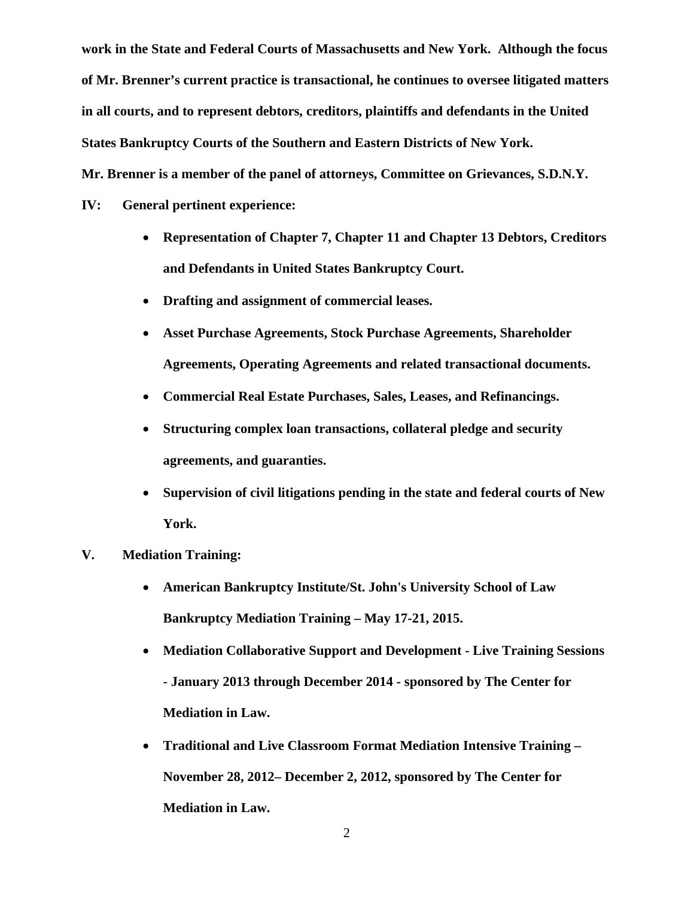**work in the State and Federal Courts of Massachusetts and New York. Although the focus of Mr. Brenner's current practice is transactional, he continues to oversee litigated matters in all courts, and to represent debtors, creditors, plaintiffs and defendants in the United States Bankruptcy Courts of the Southern and Eastern Districts of New York. Mr. Brenner is a member of the panel of attorneys, Committee on Grievances, S.D.N.Y.**

**IV: General pertinent experience:**

- **Representation of Chapter 7, Chapter 11 and Chapter 13 Debtors, Creditors and Defendants in United States Bankruptcy Court.**
- **Drafting and assignment of commercial leases.**
- **Asset Purchase Agreements, Stock Purchase Agreements, Shareholder Agreements, Operating Agreements and related transactional documents.**
- **Commercial Real Estate Purchases, Sales, Leases, and Refinancings.**
- **Structuring complex loan transactions, collateral pledge and security agreements, and guaranties.**
- **Supervision of civil litigations pending in the state and federal courts of New York.**
- **V. Mediation Training:**
	- **American Bankruptcy Institute/St. John's University School of Law Bankruptcy Mediation Training – May 17-21, 2015.**
	- **Mediation Collaborative Support and Development - Live Training Sessions - January 2013 through December 2014 - sponsored by The Center for Mediation in Law.**
	- **Traditional and Live Classroom Format Mediation Intensive Training – November 28, 2012– December 2, 2012, sponsored by The Center for Mediation in Law.**